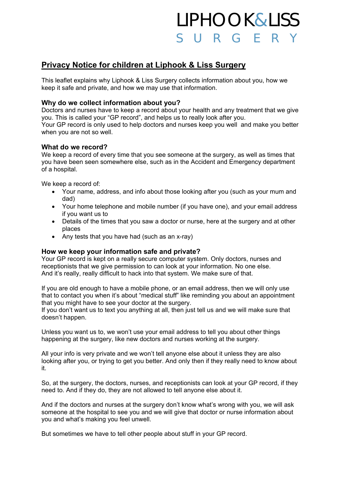# LIPHOOK&LISS S U R G E R Y

# **Privacy Notice for children at Liphook & Liss Surgery**

This leaflet explains why Liphook & Liss Surgery collects information about you, how we keep it safe and private, and how we may use that information.

## **Why do we collect information about you?**

Doctors and nurses have to keep a record about your health and any treatment that we give you. This is called your "GP record", and helps us to really look after you.

Your GP record is only used to help doctors and nurses keep you well and make you better when you are not so well.

### **What do we record?**

We keep a record of every time that you see someone at the surgery, as well as times that you have been seen somewhere else, such as in the Accident and Emergency department of a hospital.

We keep a record of:

- Your name, address, and info about those looking after you (such as your mum and dad)
- Your home telephone and mobile number (if you have one), and your email address if you want us to
- Details of the times that you saw a doctor or nurse, here at the surgery and at other places
- Any tests that you have had (such as an x-ray)

### **How we keep your information safe and private?**

Your GP record is kept on a really secure computer system. Only doctors, nurses and receptionists that we give permission to can look at your information. No one else. And it's really, really difficult to hack into that system. We make sure of that.

If you are old enough to have a mobile phone, or an email address, then we will only use that to contact you when it's about "medical stuff" like reminding you about an appointment that you might have to see your doctor at the surgery.

If you don't want us to text you anything at all, then just tell us and we will make sure that doesn't happen.

Unless you want us to, we won't use your email address to tell you about other things happening at the surgery, like new doctors and nurses working at the surgery.

All your info is very private and we won't tell anyone else about it unless they are also looking after you, or trying to get you better. And only then if they really need to know about it.

So, at the surgery, the doctors, nurses, and receptionists can look at your GP record, if they need to. And if they do, they are not allowed to tell anyone else about it.

And if the doctors and nurses at the surgery don't know what's wrong with you, we will ask someone at the hospital to see you and we will give that doctor or nurse information about you and what's making you feel unwell.

But sometimes we have to tell other people about stuff in your GP record.